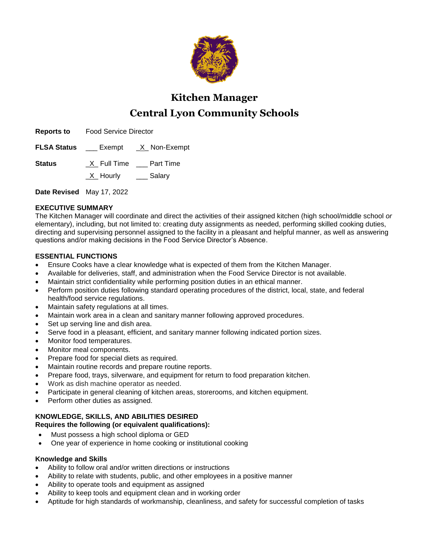

# **Kitchen Manager Central Lyon Community Schools**

**Reports to** Food Service Director

| <b>FLSA Status</b>        |            | Exempt X Non-Exempt   |
|---------------------------|------------|-----------------------|
| Status                    |            | X Full Time Part Time |
|                           | $X$ Hourly | Salary                |
| Date Revised May 17, 2022 |            |                       |

# **EXECUTIVE SUMMARY**

The Kitchen Manager will coordinate and direct the activities of their assigned kitchen (high school/middle school *or* elementary), including, but not limited to: creating duty assignments as needed, performing skilled cooking duties, directing and supervising personnel assigned to the facility in a pleasant and helpful manner, as well as answering questions and/or making decisions in the Food Service Director's Absence.

## **ESSENTIAL FUNCTIONS**

- Ensure Cooks have a clear knowledge what is expected of them from the Kitchen Manager.
- Available for deliveries, staff, and administration when the Food Service Director is not available.
- Maintain strict confidentiality while performing position duties in an ethical manner.
- Perform position duties following standard operating procedures of the district, local, state, and federal health/food service regulations.
- Maintain safety regulations at all times.
- Maintain work area in a clean and sanitary manner following approved procedures.
- Set up serving line and dish area.
- Serve food in a pleasant, efficient, and sanitary manner following indicated portion sizes.
- Monitor food temperatures.
- Monitor meal components.
- Prepare food for special diets as required.
- Maintain routine records and prepare routine reports.
- Prepare food, trays, silverware, and equipment for return to food preparation kitchen.
- Work as dish machine operator as needed.
- Participate in general cleaning of kitchen areas, storerooms, and kitchen equipment.
- Perform other duties as assigned.

#### **KNOWLEDGE, SKILLS, AND ABILITIES DESIRED Requires the following (or equivalent qualifications):**

- Must possess a high school diploma or GED
- One year of experience in home cooking or institutional cooking

## **Knowledge and Skills**

- Ability to follow oral and/or written directions or instructions
- Ability to relate with students, public, and other employees in a positive manner
- Ability to operate tools and equipment as assigned
- Ability to keep tools and equipment clean and in working order
- Aptitude for high standards of workmanship, cleanliness, and safety for successful completion of tasks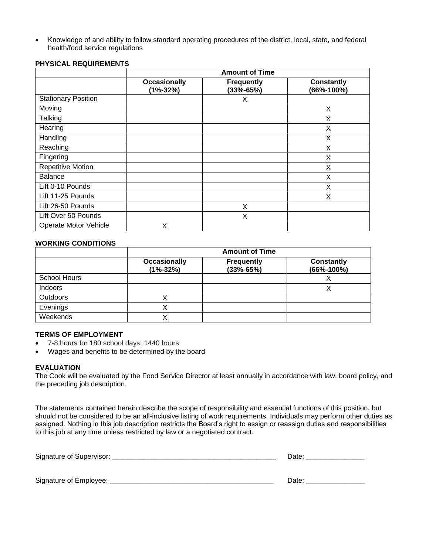• Knowledge of and ability to follow standard operating procedures of the district, local, state, and federal health/food service regulations

|                            | <b>Amount of Time</b>           |                                    |                                 |
|----------------------------|---------------------------------|------------------------------------|---------------------------------|
|                            | <b>Occasionally</b><br>(1%-32%) | <b>Frequently</b><br>$(33% - 65%)$ | <b>Constantly</b><br>(66%-100%) |
| <b>Stationary Position</b> |                                 | Х                                  |                                 |
| Moving                     |                                 |                                    | X                               |
| Talking                    |                                 |                                    | X                               |
| Hearing                    |                                 |                                    | X                               |
| Handling                   |                                 |                                    | X                               |
| Reaching                   |                                 |                                    | X                               |
| Fingering                  |                                 |                                    | X                               |
| <b>Repetitive Motion</b>   |                                 |                                    | X                               |
| <b>Balance</b>             |                                 |                                    | X                               |
| Lift 0-10 Pounds           |                                 |                                    | X                               |
| Lift 11-25 Pounds          |                                 |                                    | X                               |
| Lift 26-50 Pounds          |                                 | X                                  |                                 |
| Lift Over 50 Pounds        |                                 | X                                  |                                 |
| Operate Motor Vehicle      | X                               |                                    |                                 |

## **PHYSICAL REQUIREMENTS**

#### **WORKING CONDITIONS**

|                     | <b>Amount of Time</b>               |                                    |                                     |
|---------------------|-------------------------------------|------------------------------------|-------------------------------------|
|                     | <b>Occasionally</b><br>$(1% - 32%)$ | <b>Frequently</b><br>$(33% - 65%)$ | <b>Constantly</b><br>$(66% - 100%)$ |
| <b>School Hours</b> |                                     |                                    |                                     |
| Indoors             |                                     |                                    |                                     |
| <b>Outdoors</b>     |                                     |                                    |                                     |
| Evenings            |                                     |                                    |                                     |
| Weekends            |                                     |                                    |                                     |

#### **TERMS OF EMPLOYMENT**

- 7-8 hours for 180 school days, 1440 hours
- Wages and benefits to be determined by the board

#### **EVALUATION**

The Cook will be evaluated by the Food Service Director at least annually in accordance with law, board policy, and the preceding job description.

The statements contained herein describe the scope of responsibility and essential functions of this position, but should not be considered to be an all-inclusive listing of work requirements. Individuals may perform other duties as assigned. Nothing in this job description restricts the Board's right to assign or reassign duties and responsibilities to this job at any time unless restricted by law or a negotiated contract.

| Signature of Supervisor: | Date: |
|--------------------------|-------|
|                          |       |
| Signature of Employee:   | Date: |